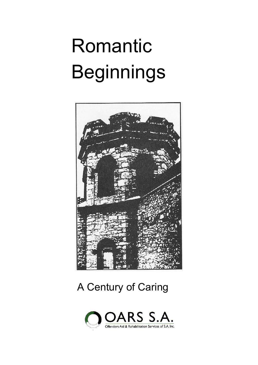# Romantic Beginnings



#### A Century of Caring

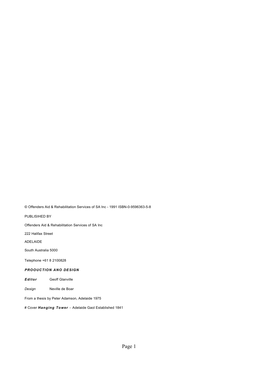© Offenders Aid & Rehabilitation Services of SA Inc - 1991 ISBN-0-9596363-5-8

PUBLISIHED BY

Offenders Aid & Rehabilitation Services of SA Inc

222 Halifax Street

ADELAIDE

South Australia 5000

Telephone +61 8 2100828

#### *PROOUCTION ANO DESIGN*

*Editor* Geoff Glanville

*Design* Neville de Boar

From a thesis by Peter Adamson, Adelaide 1975

# Cover *Hanging Tower -* Adelaide Gaol Established 1841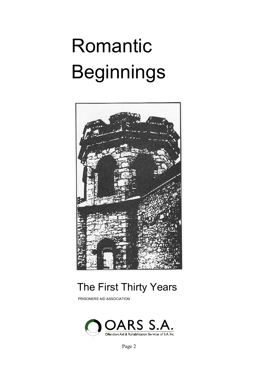# Romantic Beginnings



#### The First Thirty Years

PRISONERS AID ASSOCIATION



Page 2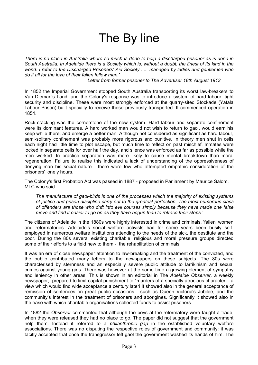## The By line

*There is no place in Australia where so much is done to help a discharged prisoner as is done in South Australia. In Adelaide there is a Society which is, without a doubt, the finest of its kind in the world. I refer to the Discharged Prisoners' Aid Society ..... managed by ladies and gentlemen who do it all for the love of their fallen fellow man.'* 

*Letter from former prisoner to The Advertiser 18th August 1913* 

In 1852 the Imperial Government stopped South Australia transporting its worst law-breakers to Van Dieman's Land. and the Colony's response was to introduce a system of hard labour, tight security and discipline. These were most strongly enforced at the quarry-sited Stockade (Yatala Labour Prison) built specially to receive those previously transported. It commenced operation in 1854.

Rock-cracking was the cornerstone of the new system. Hard labour and separate confinement were its dominant features. A hard worked man would not wish to return to gaol, would earn his keep while there, and emerge a better man. Although not considered as significant as hard labour, semi-solitary confinement was probably more rigorous and punitive. In theory men shut in cells each night had little time to plot escape, but much time to reflect on past mischief. Inmates were locked in separate cells for over half the day, and silence was enforced as far as possible while the men worked. In practice separation was more likely to cause mental breakdown than moral regeneration. Failure to realise this indicated a lack of understanding of the oppressiveness of denying man his social nature - there were few who attempted empathic consideration of the prisoners' lonely hours.

The Colony's first Probation Act was passed in 1887 - proposed in Parliament by Maurice Salom, MLC who said -

*The manufacture of gaol-birds is one of the processes which the majority of existing systems of justice and prison discipline carry out to the greatest perfection. The most numerous class of offenders are those who drift into evil courses simply because they have made one false move and find it easier to go on as they have begun than to retrace their steps.'* 

The citizens of Adelaide in the 1880s were highly interested in crime and criminals. 'fallen' women and reformatories. Adelaide's social welfare activists had for some years been busily selfemployed in numerous welfare institutions attending to the needs of the sick, the destitute and the poor. During the 80s several existing charitable, religious and moral pressure groups directed some of their efforts to a field new to them - the rehabilitation of criminals.

It was an era of close newspaper attention to law-breaking and the treatment of the convicted, and the public contributed many letters to the newspapers on these subjects. The 80s were characterised by sternness and an especially severe public attitude to larrikinism and sexual crimes against young girls. There was however at the same time a growing element of sympathy and leniency in other areas. This is shown in an editorial in The *Adelaide Observer,* a weekly newspaper, prepared to limit capital punishment to "murders of a specially atrocious character' - a view which would find wide acceptance a century lateri It showed also in the general acceptance of remission of sentences on great public occasions - such as Queen Victoria's Jubilee, and the community's interest in the treatment of prisoners and aborigines. Significantly it showed also in the ease with which charitable organisations collected funds to assist prisoners.

In 1882 the *Observer* commented that although the boys at the reformatory were taught a trade, when they were released they had no place to go. The paper did not suggest that the government help them. Instead it referred to a *philanthropic gap* in the established voluntary welfare associations. There was no disputing the respective roles of government and community: it was tacitly accepted that once the transgressor left gaol the government washed its hands of him. The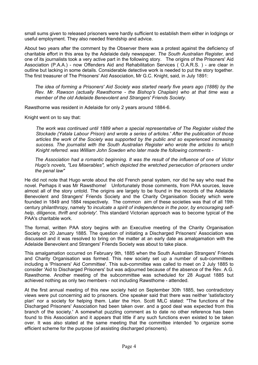small sums given to released prisoners were hardly sufficient to establish them either in lodgings or useful employment. They also needed friendship and advice.

About two years after the comment by the Observer there was a protest against the deficiency of charitable effort in this area by the Adelaide daily newspaper. *The South Australian Register,* and one of its journalists took a very active part in the following story. The origins of the Prisoners' Aid Association (P.A.A.) - now Offenders Aid and Rehabilitation Services ( O.A.R.S. ) - are clear in outline but lacking in some details. Considerable detective work is needed to put the story together. The first treasurer of The Prisoners' Aid Association, Mr G.C. Knight, said, in July 1891:

*The idea of forming a Prisoners' Aid Society was started nearly five years ago (1886) by the Rev. Mr. Rawson (actually Rawsthorne - the Bishop's Chaplain) who at that time was a member of the old Adelaide Benevolent and Strangers' Friends Society.* 

Rawsthorne was resident in Adelaide for only 2 years around 1884-6.

Knight went on to say that:

*The work was continued until 1889 when a special representative of The Register visited the Stockade (Yatala Labour Prison) and wrote a series of articles.' After the publication of those articles the work of the Society was supported by the public and so experienced increasing success. The journalist with the South Australian Register who wrote the articles to which Knight referred. was William John Sowden who later made the following comments -* 

*The Association had a romantic beginning. It was the result of the influence of one of Victor Hugo's novels, "Les Miserables", which depicted the wretched persecution of prisoners under the penal law"* 

He did not note that Hugo wrote about the old French penal system, nor did he say who read the novel. Perhaps it was Mr Rawsthome! Unfortunately those comments, from PAA sources, leave almost all of the story untold. The origins are largely to be found in the records of the Adelaide Benevolent and Strangers' Friends Society and the Charity Organisation Society which were founded in 1849 and 1884 respectively. The common aim of these societies was that of all 19th century philanthropy, namely *'to inculcate a spirit of independence in the poor, by encouraging selfhelp, diligence, thrift and sobriety'.* This standard Victorian approach was to become typical of the PAA's charitable work.

The formal, written PAA story begins with an Executive meeting of the Charity Organisation Society on 20 January 1885. The question of initiating a Discharged Prisoners' Association was discussed and it was resolved to bring on the matter at an early date as amalgamation with the Adelaide Benevolent and Strangers' Friends Society was about to take place.

This amalgamation occurred on February 9th, 1885 when the South Australian Strangers' Friends and Charity Organisation was formed. This new society set up a number of sub-committees including a 'Prisoners' Aid Committee'. This sub-committee was called to meet on 2 July 1885 to consider 'Aid to Discharged Prisoners' but was adjourned because of the absence of the Rev. A.G. Rawsthome. Another meeting of the subcommittee was scheduled for 28 August 1885 but achieved nothing as only two members - not including Rawsthome - attended.

At the first annual meeting of this new society held on September 30th 1885, two contradictory views were put concerning aid to prisoners. One speaker said that there was neither 'satisfactory plan' nor a society for helping them. Later the Hon. Scott MLC stated: "The functions of the Discharged Prisoners' Association had been taken over. and a good deal was expected from this branch of the society.' A somewhat puzzling comment as to date no other reference has been found to this Association and it appears that little if any such functions even existed to be taken over. It was also stated at the same meeting that the committee intended 'to organize some efficient scheme for the purpose (of assisting discharged prisoners).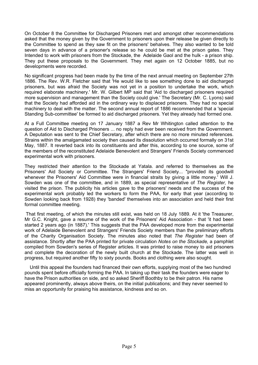On October 8 the Committee for Discharged Prisoners met and amongst other recommendations asked that the money given by the Government to prisoners upon their release be given directly to the Committee to spend as they saw fit on the prisoners' behalves. They also wanted to be told seven days in advance of a prisoner's release so he could be met at the prison gates. They Intended to work with prisoners from the Stockade, the Adelaide Gaol and the hulk - a prison ship. They put these proposals to the Government. They met again on 12 October 1885, but no developments were recorded.

No significant progress had been made by the time of the next annual meeting on September 27th 1886. The Rev. W.R. Fletcher said that 'He would like to see something done to aid discharged prisoners, but was afraid the Society was not yet in a position to undertake the work, which required elaborate machinery.' Mr. W. Gilbert MP said that 'Aid to discharged prisoners required more supervision and management than the Society could give.' The Secretary (Mr. C. Lyons) said that the Society had afforded aid in the ordinary way to displaced prisoners. They had no special machinery to deal with the matter. The second annual report of 1886 recommended that a 'special Standing Sub-committee' be formed to aid discharged prisoners. Yet they already had formed one.

At a Full Committee meeting on 17 January 1887 a Rev Mr Whitington called attention to the question of Aid to Discharged Prisoners ... no reply had ever been received from the Government. A Deputation was sent to the Chief Secretary, after which there are no more minuted references. Strains within the amalgamated society then caused its dissolution which occurred formally on 31st May, 1887. It reverted back into its constituents and after this, according to one source, some of the members of the reconstituted Adelaide Benevolent and Strangers' Friends Society commenced experimental work with prisoners.

They restricted their attention to the Stockade at Yatala. and referred to themselves as the Prisoners' Aid Society or Committee. The Strangers' Friend Society... "provided its goodwill whenever the Prisoners' Aid Committee were in financial straits by giving a little money.' Will J. Sowden was one of the committee, and in 1889, as special representative of *The Register,* he visited the prison. The publicity his articles gave to the prisoners' needs and the success of the experimental work probably led the workers to form the PAA, for early that year (according to Sowden looking back from 1928) they 'banded' themselves into an association and held their first formal committee meeting.

That first meeting, of which the minutes still exist, was held on 18 July 1889. At it 'the Treasurer, Mr G.C. Knight, gave a resume of the work of the Prisoners' Aid Association - that 'it had been started 2 years ago (in 1887).' This suggests that the PAA developed more from the experimental work of Adelaide Benevolent and Strangers' Friends Society members than the preliminary efforts of the Charity Organisation Society. The minutes also noted that *The Register* had been of assistance. Shortly after the PAA printed for private circulation *Notes on the Stockade,* a pamphlet compiled from Sowden's series of Register articles. It was printed to raise money to aid prisoners and complete the decoration of the newly built church at the Stockade. The latter was well in progress, but required another fifty to sixty pounds. Books and clothing were also sought.

Until this appeal the founders had financed their own efforts, supplying most of the two hundred pounds spent before officially forming the PAA. In taking up their task the founders were eager to have the Prison authorities on side, and so asked Sheriff Boothby to be their patron. His name appeared prominently, always above theirs, on the initial publications; and they never seemed to miss an opportunity for praising his assistance, kindness and so on.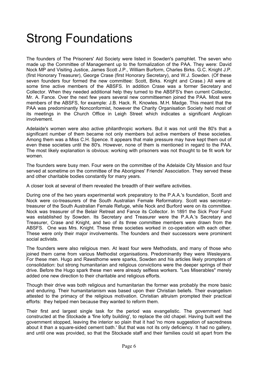## Strong Foundations

The founders of The Prisoners' Aid Society were listed in Sowden's pamphlet. The seven who made up the Committee of Management up to the formalization of the PAA. They were: David Nock MP and Visiting Justice, James Scott J.P., William Burform, Charles Birks. G.C. Knight J.P. (first Honorary Treasurer), George Crase (first Honorary Secretary), and W.J. Sowden. (Of these seven founders four formed the new committee: Scott, Birks. Knight and Crase.) All were at some time active members of the ABSFS. In addition Crase was a former Secretary and Collector. When they needed additional help they turned to the ABSFS's then current Collector, Mr. A. Fance. Over the next few years several new committeemen joined the PAA. Most were members of the ABSFS, for example: J.B. Hack. R. Knowles. M.H. Madge. This meant that the PAA was predominantly Nonconformist, however the Charity Organisation Society held most of its meetings in the Church Office in Leigh Street which indicates a significant Anglican involvement.

Adelaide's women were also active philanthropic workers. But it was not until the 80's that a significant number of them became not only members but active members of these societies. Among them was a Miss C.H. Spence. It appears that male pressure may have kept them out of even these societies until the 80's. However, none of them is mentioned in regard to the PAA. The most likely explanation is obvious: working with prisoners was not thought to be fit work for women.

The founders were busy men. Four were on the committee of the Adelaide City Mission and four served at sometime on the committee of the Aborigines' Friends' Association. They served these and other charitable bodies constantly for many years.

A closer look at several of them revealed the breadth of their welfare activities.

During one of the two years experimental work preparatory to the P.A.A.'s foundation, Scott and Nock were co-treasurers of the South Australian Female Reformatory. Scott was secretarytreasurer of the South Australian Female Refuge, while Nock and Burford were on its committee. Nock was treasurer of the Belair Retreat and Fance its Collector. In 1891 the Sick Poor Fund was established by Sowden. Its Secretary and Treasurer were the P.A.A.'s Secretary and Treasurer, Crase and Knight, and two of its three committee members were drawn from the ABSFS. One was Mrs. Knight. These three societies worked in co-operation with each other. These were only their major involvements. The founders and their successors were prominent social activists.

The founders were also religious men. At least four were Methodists, and many of those who joined them came from various Methodist organisations. Predominantly they were Wesleyans. For these men. Hugo and Rawsthome were sparks, Sowden and his articles likely prompters of consolidation: but strong humanitarian and religious convictions were the deeper springs of their drive. Before the Hugo spark these men were already selfless workers. "Les Miserables" merely added one new direction to their charitable and religious efforts.

Though their drive was both religious and humanitarian the former was probably the more basic and enduring. Their humanitarianism was based upon their Christian beliefs. Their evangelism attested to the primacy of the religious motivation. Christian altruism prompted their practical efforts: they helped men because they wanted to reform them.

Their first and largest single task for the period was evangelistic. The government had constructed at the Stockade a 'fine lofty building', to replace the old chapel. Having built well the government stopped, leaving the interior so plain that it had 'no more suggestion of sacredness about it than a square-sided cement bath.' But that was not its only deficiency. It had no gallery, and until one was provided, so that the Stockade staff and their families could sit apart from the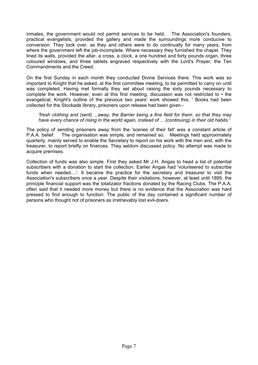inmates, the government would not permit services to be held. The Association's founders, practical evangelists, provided the gallery and made the surroundings more conducive to conversion. They took over. as they and others were to do continually for many years, from where the government left the job-incomplete. Where necessary they furnished the chapel. They lined its walls, provided the altar, a cross, a clock, a one hundred and forty pounds organ, three coloured windows, and three tablets engraved respectively with the Lord's Prayer, the Ten Commandments and the Creed.

On the first Sunday in each month they conducted Divine Services there. This work was so important to Knight that he asked, at the first committee meeting, to be permitted to carry on until was completed. Having met formally they set about raising the sixty pounds necessary to complete the work. However, even at this first meeting, discussion was not restricted to • the evangelical; Knight's outline of the previous two years' work showed this. ' Books had been collected for the Stockade library, prisoners upon release had been given.-

#### *'fresh clothing and (sent) ...away, the Barrier being a fine field for them. so that they may have every chance of rising in the world again, instead of ... (continuing) in their old habits.'*

The policy of sending prisoners away from the 'scenes of their fall' was a constant article of P.A.A. belief. The organisation was simple, and remained so. Meetings held approximately quarterly, mainly served to enable the Secretary to report on his work with the men and, with the treasurer, to report briefly on finances. They seldom discussed policy. No attempt was made to acquire premises.

Collection of funds was also simple. First they asked Mr J.H. Angas to head a list of potential subscribers with a donation to start the collection. Earlier Angas had 'volunteered to subscribe funds when needed....'. It became the practice for the secretary and treasurer to visit the Association's subscribers once a year. Despite their visitations, however, at least until 1895. the principle financial support was the totalizator fractions donated by the Racing Clubs. The P.A.A. often said that it needed more money but there is no evidence that the Association was hard pressed to find enough to function. The public of the day contained a significant number of persons who thought not of prisoners as irretrievably lost evil-doers.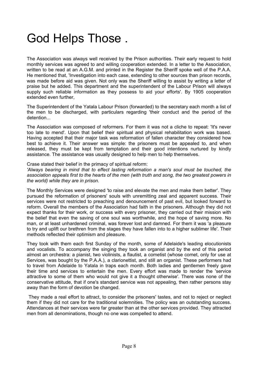### God Helps Those .

The Association was always well received by the Prison authorities. Their early request to hold monthly services was agreed to and willing cooperation extended. In a letter to the Association, written to be read at an A.G.M. and printed in the Register the Sheriff spoke well of the P.A.A. He mentioned that, 'Investigation into each case, extending to other sources than prison records, was made before aid was given. Not only was the Sheriff willing to assist by writing a letter of praise but he added. This department and the superintendent of the Labour Prison will always supply such reliable information as they possess to aid your efforts'. By 1905 cooperation extended even further,

The Superintendent of the Yatala Labour Prison (forwarded) to the secretary each month a list of the men to be discharged, with particulars regarding 'their conduct and the period of the detention...

The Association was composed of reformers. For them it was not a cliche to repeat: 'It's never too late to mend'. Upon that belief their spiritual and physical rehabilitation work was based. Having accepted that their major task was reformation of fallen character they considered how best to achieve it. Their answer was simple: the prisoners must be appealed to, and when released, they must be kept from temptation and their good intentions nurtured by kindly assistance. The assistance was usually designed to help men to help themselves.

#### Crase stated their belief in the primacy of spiritual reform:

*'Always bearing in mind that to effect lasting reformation a man's soul must be touched, the association appeals first to the hearts of the men (with truth and song, the two greatest powers in the world) while they are in prison.* 

The Monthly Services were designed 'to raise and elevate the men and make them better'. They pursued the reformation of prisoners' souls with unremitting zeal and apparent success. Their services were not restricted to preaching and denouncement of past evil, but looked forward to reform. Overall the members of the Association had faith in the prisoners. Although they did not expect thanks for their work, or success with every prisoner, they carried out their mission with the belief that even the saving of one soul was worthwhile, and the hope of saving more. No man, or at least unhardened criminal, was forever lost and damned. For them it was 'a pleasure to try and uplift our brethren from the stages they have fallen into to a higher sublimer life'. Their methods reflected their optimism and pleasure.

They took with them each first Sunday of the month, some of Adelaide's leading elocutionists and vocalists. To accompany the singing they took an organist and by the end of this period almost an orchestra: a pianist, two violinists, a flautist, a cometist (whose comet, only for use at Services, was bought by the P.A.A.), a clarionettist, and still an organist. These performers had to travel from Adelaide to Yatala in traps each month. Both ladies and gentlemen freely gave their time and services to entertain the men. Every effort was made to render the 'service attractive to some of them who would not give it a thought otherwise'. There was none of the conservative attitude, that if one's standard service was not appealing, then rather persons stay away than the form of devotion be changed.

They made a real effort to attract, to consider the prisoners' tastes, and not to reject or neglect them if they did not care for the traditional solemnities. The policy was an outstanding success. Attendances at their services were far greater than at the other services provided. They attracted men from all denominations, though no one was compelled to attend.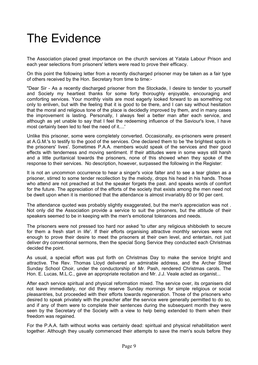## The Evidence

The Association placed great importance on the church services at Yatala Labour Prison and each year selections from prisoners' letters were read to prove their efficacy.

On this point the following letter from a recently discharged prisoner may be taken as a fair type of others received by the Hon. Secretary from time to time:-

"Dear Sir - As a recently discharged prisoner from the Stockade, I desire to tender to yourself and Society my heartiest thanks for some forty thoroughly enjoyable, encouraging and comforting services. Your monthly visits are most eagerly looked forward to as something not only to enliven, but with the feeling that it is good to be there, and I can say without hesitation that the moral and religious tone of the place is decidedly improved by them, and in many cases the improvement is lasting. Personally, I always feel a better man after each service, and although as yet unable to say that I feel the redeeming influence of the Saviour's love, I have most certainly been led to feel the need of it....'

Unlike this prisoner, some were completely converted. Occasionally, ex-prisoners were present at A.G.M.'s to testify to the good of the services. One declared them to be 'the brightest spots in the prisoners' lives'. Sometimes P.A.A. members would speak of the services and their good effects with tenderness and moving sentiment. If their attitudes were in some ways still harsh and a little puritanical towards the prisoners, none of this showed when they spoke of the response to their services. No description, however, surpassed the following in the Register:

It is not an uncommon occurrence to hear a singer's voice falter and to see a tear glisten as a prisoner, stirred to some tender recollection by the melody, drops his head in his hands. Those who attend are not preached at but the speaker forgets the past. and speaks words of comfort for the future. The appreciation of the efforts of the society that exists among the men need not be dwelt upon when it is mentioned that the attendance is almost invariably 80 or 90 per cent.

The attendance quoted was probably slightly exaggerated, but the men's appreciation was not . Not only did the Association provide a service to suit the prisoners, but the attitude of their speakers seemed to be in keeping with the men's emotional tolerances and needs.

The prisoners were not pressed too hard nor asked 'to utter any religious shibboleth to secure for them a fresh start in life'. If their efforts organising attractive monthly services were not enough to prove their desire to meet the prisoners at their own level, and entertain, not just deliver dry conventional sermons, then the special Song Service they conducted each Christmas decided the point.

As usual, a special effort was put forth on Christmas Day to make the service bright and attractive. The Rev. Thomas Lloyd delivered an admirable address, and the Archer Street Sunday School Choir, under the conductorship of Mr. Pash, rendered Christmas carols. The Hon. E. Lucas, M.L.C., gave an appropriate recitation and Mr. J.J. Veale acted as organist...

After each service spiritual and physical reformation mixed. The service over, its organisers did not leave immediately, nor did they reserve Sunday mornings for simple religious or social pleasantries, but proceeded with their efforts towards regeneration. Those of the prisoners who desired to speak privately with the preacher after the service were generally permitted to do so, and if any of them were to complete their sentences during the subsequent month they were seen by the Secretary of the Society with a view to help being extended to them when their freedom was regained.

For the P.A.A. faith without works was certainly dead: spiritual and physical rehabilitation went together. Although they usually commenced their attempts to save the men's souls before they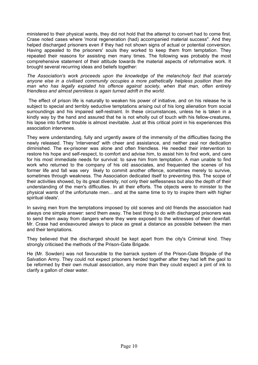ministered to their physical wants, they did not hold that the attempt to convert had to come first. Crase noted cases where 'moral regeneration (had) accompanied material success". And they helped discharged prisoners even if they had not shown signs of actual or potential conversion. Having appealed to the prisoners' souls they worked to keep them from temptation. They repeated their reasons for assisting men many times. The following was probably the most comprehensive statement of their attitude towards the material aspects of reformative work. It brought several recurring ideas and beliefs together:

*The Association's work proceeds upon the knowledge of the melancholy fact that scarcely anyone else in a civilised community occupies a more pathetically helpless position than the man who has legally expiated his offence against society, when that man, often entirely friendless and almost penniless is again turned adrift in the world.* 

The effect of prison life is naturally to weaken his power of initiative, and on his release he is subject to special and terribly seductive temptations arising out of his long alienation from social surroundings and his impaired self-restraint. In these circumstances, unless he is taken in a kindly way by the hand and assured that he is not wholly out of touch with his fellow-creatures, his lapse into further trouble is almost inevitable. Just at this critical point in his experiences this association intervenes.

They were understanding, fully and urgently aware of the immensity of the difficulties facing the newly released. They 'intervened' with cheer and assistance, and neither zeal nor dedication diminished. The ex-prisoner was alone and often friendless. He needed their intervention to restore his hope and self-respect, to comfort and advise him, to assist him to find work, and care for his most immediate needs for survival: to save him from temptation. A man unable to find work who returned to the company of his old associates, and frequented the scenes of his former life and fall was very likely to commit another offence, sometimes merely to survive, sometimes through weakness. The Association dedicated itself to preventing this. The scope of their activities showed, by its great diversity, not only their selflessness but also the depth of their understanding of the men's difficulties. In all their efforts. The objects were to minister to the physical wants of the unfortunate men... and at the same time to try to inspire them with higher spiritual ideals'.

In saving men from the temptations imposed by old scenes and old friends the association had always one simple answer: send them away. The best thing to do with discharged prisoners was to send them away from dangers where they were exposed to the witnesses of their downfall. Mr. Crase had endeavoured always to place as great a distance as possible between the men and their temptations.

They believed that the discharged should be kept apart from the city's Criminal kind. They strongly criticised the methods of the Prison-Gate Brigade.

He (Mr. Sowden) was not favourable to the barrack system of the Prison-Gate Brigade of the Salvation Army. They could not expect prisoners herded together after they had left the gaol to be reformed by their own mutual association, any more than they could expect a pint of ink to clarify a gallon of clear water.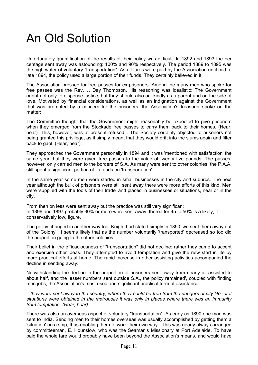## An Old Solution

Unfortunately quantification of the results of their policy was difficult. In 1892 and 1893 the per centage sent away was astounding: 100% and 90% respectively. The period 1889 to 1895 was the high water of voluntary "transportation". As all fares were paid by the Association until mid to late 1894, the policy used a large portion of their funds. They certainly believed in it.

The Association pressed for free passes for ex-prisoners. Among the many men who spoke for free passes was the Rev. J. Day Thompson. His reasoning was idealistic: The Government ought not only to dispense justice, but they should also act kindly as a parent and on the side of love. Motivated by financial considerations, as well as an indignation against the Government that was prompted by a concern for the prisoners, the Association's treasurer spoke on the matter:

The Committee thought that the Government might reasonably be expected to give prisoners when they emerged from the Stockade free passes to carry them back to their homes. (Hear, hear). This, however, was at present refused... The Society certainly objected to prisoners not being granted this privilege, as it simply meant that they would drift into the slums again and filter back to gaol. (Hear, hear).

They approached the Government personally in 1894 and it was 'mentioned with satisfaction' the same year that they were given free passes to the value of twenty five pounds. The passes, however, only carried men to the borders of S.A. As many were sent to other colonies, the P.A.A. still spent a significant portion of its funds on 'transportation'.

In the same year some men were started in small businesses in the city and suburbs. The next year although the bulk of prisoners were still sent away there were more efforts of this kind. Men were 'supplied with the tools of their trade' and placed in businesses or situations, near or in the city.

From then on less were sent away but the practice was still very significan; In 1896 and 1897 probably 30% or more were sent away, thereafter 45 to 50% is a likely, if conservatively low, figure.

The policy changed in another way too. Knight had stated simply in 1890 'we sent them away out of the Colony'. It seems likely that as the number voluntarily 'transported' decreased so too did the proportion going to the other colonies.

Their belief in the efficaciousness of "transportation" did not decline: rather they came to accept and exercise other ideas. They attempted to avoid temptation and give the new start in life by more practical efforts at home. The rapid increase in other assisting activities accompanied the decline in sending away.

Notwithstanding the decline in the proportion of prisoners sent away from nearly all assisted to about half, and the lesser numbers sent outside S.A., the policy remained', coupled with finding men jobs, the Association's most used and significant practical form of assistance.

*...they were sent away to the country, where they could be free from the dangers of city life, or if situations were obtained in the metropolis it was only in places where there was an immunity from temptation. (Hear, hear).* 

There was also an overseas aspect of voluntary "transportation". As early as 1890 one man was sent to India. Sending men to their homes overseas was usually accomplished by getting them a 'situation' on a ship, thus enabling them to work their own way. This was nearly always arranged by committeeman, E. Hounslow, who was the Seaman's Missionary at Port Adelaide. To have paid the whole fare would probably have been beyond the Association's means, and would have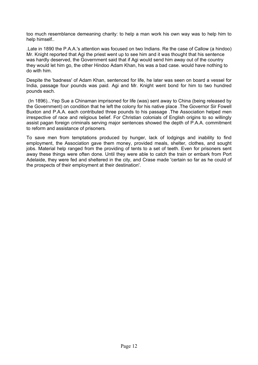too much resemblance demeaning charity: to help a man work his own way was to help him to help himself..

.Late in 1890 the P.A.A.'s attention was focused on two Indians. Re the case of Callow (a hindoo) Mr. Knight reported that Agi the priest went up to see him and it was thought that his sentence was hardly deserved, the Government said that if Agi would send him away out of the country they would let him go, the other Hindoo Adam Khan, his was a bad case. would have nothing to do with him.

Despite the 'badness' of Adam Khan, sentenced for life, he later was seen on board a vessel for India, passage four pounds was paid. Agi and Mr. Knight went bond for him to two hundred pounds each.

(In 1896)...Yep Sue a Chinaman imprisoned for life (was) sent away to China (being released by the Government) on condition that he left the colony for his native place .The Governor Sir Fowell Buxton and P.A.A. each contributed three pounds to his passage .The Association helped men irrespective of race and religious belief. For Christian colonials of English origins to so willingly assist pagan foreign criminals serving major sentences showed the depth of P.A.A. commitment to reform and assistance of prisoners.

To save men from temptations produced by hunger, lack of lodgings and inability to find employment, the Association gave them money, provided meals, shelter, clothes, and sought jobs. Material help ranged from the providing of tents to a set of teeth. Even for prisoners sent away these things were often done. Until they were able to catch the train or embark from Port Adelaide, they were fed and sheltered in the city, and Crase made 'certain so far as he could of the prospects of their employment at their destination'.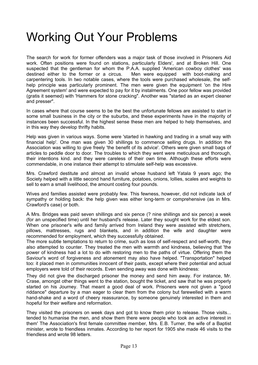#### Working Out Your Problems

The search for work for former offenders was a major task of those involved in Prisoners Aid work. Often positions were found on stations, particularly Elders', and at Broken Hill. One suspected that the gentleman for whom the P.A.A. supplied 'American cowboy clothes' was destined either to the former or a circus. Men were equipped with boot-making and carpentering tools. In two notable cases, where the tools were purchased wholesale, the selfhelp principle was particularly prominent. The men were given the equipment 'on the Hire Agreement system' and were expected to pay for it by instalments. One poor fellow was provided (gratis it seemed) with 'Hammers for stone cracking". Another was "started as an expert cleaner and presser".

In cases where that course seems to be the best the unfortunate fellows are assisted to start in some small business in the city or the suburbs, and these experiments have in the majority of instances been successful. In the highest sense these men are helped to help themselves, and in this way they develop thrifty habits.

Help was given in various ways. Some were 'started in hawking and trading in a small way with financial help'. One man was given 30 shillings to commence selling drugs. In addition the Association was willing to give freely 'the benefit of its advice'. Others were given small bags of articles to peddle door to door. The troubles to which they went were meticulous and thorough, their intentions kind. and they were careless of their own time. Although these efforts were commendable, in one instance their attempt to stimulate self-help was excessive.

Mrs. Crawford destitute and almost an invalid whose husband left Yatala 9 years ago; the Society helped with a little second hand furniture, potatoes, onions, lollies, scales and weights to sell to earn a small livelihood, the amount costing four pounds.

Wives and families assisted were probably few. This fewness, however, did not indicate lack of sympathy or holding back: the help given was either long-term or comprehensive (as in Mrs. Crawford's case) or both.

A Mrs. Bridges was paid seven shillings and six pence (? nine shillings and six pence) a week (for an unspecified time) until her husband's release. Later they sought work for the eldest son. When one prisoner's wife and family arrived from Ireland they were assisted with stretchers, pillows, mattresses, rugs and blankets, and in addition the wife and daughter were recommended for employment, which they successfully obtained.

The more subtle temptations to return to crime, such as loss of self-respect and self-worth, they also attempted to counter. They treated the men with warmth and kindness, believing that 'the power of kindness had a lot to do with restoring men to the paths of virtue. Offering them the Saviour's word of forgiveness and atonement may also have helped. "Transportation" helped too: it placed men in communities innocent of their pasts, except where their potential and actual employers were told of their records. Even sending away was done with kindness:

They did not give the discharged prisoner the money and send him away. For instance, Mr. Crase, amongst other things went to the station, bought the ticket, and saw that he was properly started on his Journey. That meant a good deal of work. Prisoners were not given a "good riddance" departure by a man eager to clear them from the colony but farewelled with a warm hand-shake and a word of cheery reassurance, by someone genuinely interested in them and hopeful for their welfare and reformation.

They visited the prisoners on week days and got to know them prior to release. Those visits... tended to humanise the men, and show them there were people who took an active interest in them' The Association's first female committee member, Mrs. E.B. Turner, the wife of a Baptist minister, wrote to friendless inmates. According to her report for 1905 she made 46 visits to the friendless and wrote 98 letters.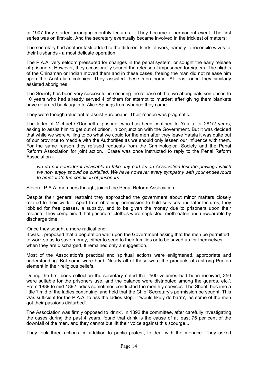In 1907 they started arranging monthly lectures. They became a permanent event. The first series was on first-aid. And the secretary eventually became involved in the trickiest of matters:

The secretary had another task added to the different kinds of work, namely to reconcile wives to their husbands - a most delicate operation.

The P.A.A. very seldom pressured for changes in the penal system, or sought the early release of prisoners. However, they occasionally sought the release of imprisoned foreigners. The plights of the Chinaman or Indian moved them and in these cases, freeing the man did not release him upon the Australian colonies. They assisted these men home. At least once they similarly assisted aborigines.

The Society has been very successful in securing the release of the two aboriginals sentenced to 10 years who had already served 4 of them for attempt to murder; after giving them blankets have returned back again to Alice Springs from whence they came.

They were though reluctant to assist Europeans. Their reason was pragmatic.

The letter of Michael O'Donnell a prisoner who has been confined to Yatala for 281/2 years, asking to assist him to get out of prison, in conjunction with the Government. But it was decided that while we were willing to do what we could for the men after they leave Yatala it was quite out of our province to meddle with the Authorities as we should only lessen our influence with them. For the same reason they refused requests from the Criminological Society and the Penal Reform Association for joint action. Crase was once instructed to reply to the Penal Reform Association -

*we do not consider it advisable to take any part as an Association lest the privilege which we now enjoy should be curtailed. We have however every sympathy with your endeavours to ameliorate the condition of prisoners...* 

Several P.A.A. members though, joined the Penal Reform Association.

Despite their general restraint they approached the government about minor matters closely related to their work. Apart from obtaining permission to hold services and later lectures, they lobbied for free passes, a subsidy, and to be given the money due to prisoners upon their release. They complained that prisoners' clothes were neglected, moth-eaten and unwearable by discharge time.

Once they sought a more radical end:

It was... proposed that a deputation wait upon the Government asking that the men be permitted to work so as to save money, either to send to their families or to be saved up for themselves when they are discharged. It remained only a suggestion.

Most of the Association's practical and spiritual actions were enlightened, appropriate and understanding. But some were hard. Nearly all of these were the products of a strong Puritan element in their religious beliefs.

During the first book collection the secretary noted that '500 volumes had been received, 350 were suitable for the prisoners use. and the balance were distributed among the guards, etc.'. From 1889 to mid-1892 ladies sometimes conducted the monthly services. The Sheriff became a little 'timid of the ladies continuing' and held that the Chief Secretary's permission be sought. This v/as sufficient for the P.A.A. to ask the ladies stop: it 'would likely do harm', 'as some of the men got their passions disturbed'.

The Association was firmly opposed to 'drink'. In 1892 the committee, after carefully investigating the cases during the past 4 years, found that drink is the cause of at least 75 per cent of the downfall of the men. and they cannot but lift their voice against this scourge...

They took three actions, in addition to public protest, to deal with the menace. They asked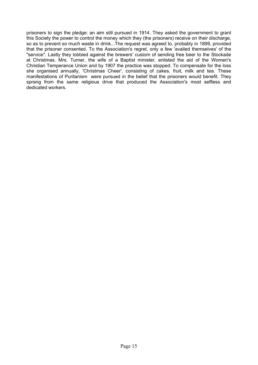prisoners to sign the pledge: an aim still pursued in 1914. They asked the government to grant this Society the power to control the money which they (the prisoners) receive on their discharge, so as to prevent so much waste in drink...The request was agreed to, probably in 1899, provided that the prisoner consented. To the Association's regret, only a few 'availed themselves' of the "service". Lastly they lobbied against the brewers' custom of sending free beer to the Stockade at Christmas. Mrs. Turner, the wife of a Baptist minister, enlisted the aid of the Women's Christian Temperance Union and by 1907 the practice was stopped. To compensate for the loss she organised annually, 'Christmas Cheer', consisting of cakes, fruit, milk and tea. These manifestations of Puritanism were pursued in the belief that the prisoners would benefit. They sprang from the same religious drive that produced the Association's most selfless and dedicated workers.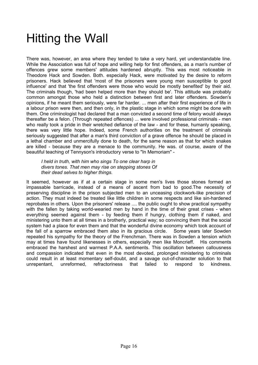#### Hitting the Wall

There was, however, an area where they tended to take a very hard, yet understandable line. While the Association was full of hope and willing help for first offenders, as a man's number of offences grew some members' attitudes hardened abruptly. This was most noticeable in Theodore Hack and Sowden. Both. especially Hack, were motivated by the desire to reform prisoners. Hack believed that 'most of the prisoners were young men susceptible to good influence' and that 'the first offenders were those who would be mostly benefited' by their aid. The criminals though, 'had been helped more than they should be'. This attitude was probably common amongst those who held a distinction between first and later offenders. Sowden's opinions, if he meant them seriously, were far harder. ... men after their first experience of life in a labour prison were then, and then only, in the plastic stage in which some might be done with them. One criminologist had declared that a man convicted a second time of felony would always thereafter be a felon. (Through repeated offences) ... were involved professional criminals - men who really took a pride in their wretched defiance of the law - and for these, humanly speaking, there was very little hope. Indeed, some French authorities on the treatment of criminals seriously suggested that after a man's third conviction of a grave offence he should be placed in a lethal chamber and unmercifully done to death, for the same reason as that for which snakes are killed - because they are a menace to the community. He was. of course, aware of the beautiful teaching of Tennyson's introductory verse to "In Memoriam" -

*I held in truth, with him who sings To one clear harp in divers tones. That men may rise on stepping stones Of their dead selves to higher things.* 

It seemed, however as if at a certain stage in some men's lives those stones formed an impassable barricade, instead of a means of ascent from bad to good.The necessity of preserving discipline in the prison subjected men to an unceasing clockwork-like precision of action. They must indeed be treated like little children in some respects and like sin-hardened reprobates in others. Upon the prisoners' release .... the public ought to show practical sympathy with the fallen by taking world-wearied men by hand in the time of their great crises - when everything seemed against them - by feeding them if hungry, clothing them if naked, and ministering unto them at all times in a brotherly, practical way; so convincing them that the social system had a place for even them and that the wonderful divine economy which took account of the fall of a sparrow embraced them also in its gracious circle. Some years later Sowden repeated his sympathy for the theory of the Frenchman. There was in Sowden a tension which may at times have found likenesses in others, especially men like Moncrieff. His comments embraced the harshest and warmest P.A.A. sentiments. This oscillation between callousness and compassion indicated that even in the most devoted, prolonged ministering to criminals could result in at least momentary self-doubt, and a savage out-of-character solution to that unrepentant, unreformed, refractoriness that failed to respond to kindness.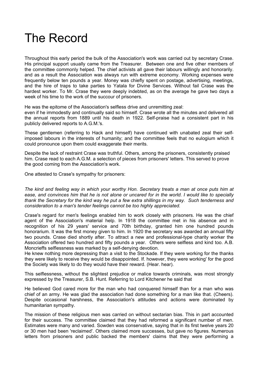#### The Record

Throughout this early period the bulk of the Association's work was carried out by secretary Crase. His principal support usually came from the Treasurer. Between one and five other members of the committee commonly helped. The chief activists all gave their labours willingly and honorarily. and as a result the Association was always run with extreme economy. Working expenses were frequently below ten pounds a year. Money was chiefly spent on postage, advertising, meetings, and the hire of traps to take parties to Yatala for Divine Services. Without fail Crase was the hardest worker. To Mr. Crase they were deeply indebted, as on the average he gave two days a week of his time to the work of the succour of prisoners.

He was the epitome of the Association's selfless drive and unremitting zeal:

even if he immodestly and continually said so himself. Crase wrote all the minutes and delivered all the annual reports from 1889 until his death in 1922. Self-praise had a consistent part in his publicly delivered reports to A.G.M.'s.

These gentlemen (referring to Hack and himself) have continued with unabated zeal their selfimposed labours in the interests of humanity; and the committee feels that no eulogium which it could pronounce upon them could exaggerate their merits.

Despite the lack of restraint Crase was truthful. Others, among the prisoners, consistently praised him. Crase read to each A.G.M. a selection of pieces from prisoners' letters. This served to prove the good coming from the Association's work.

One attested to Crase's sympathy for prisoners:

*The kind and feeling way in which your worthy Hon. Secretary treats a man at once puts him at ease, and convinces him that he is not alone or uncared for in the world. I would like to specially thank the Secretary for the kind way he put a few extra shillings in my way. Such tenderness and consideration to a man's tender feelings cannot be too highly appreciated.* 

Crase's regard for men's feelings enabled him to work closely with prisoners. He was the chief agent of the Association's material help. In 1918 the committee met in his absence and in recognition of his 29 years' service and 70th birthday, granted him one hundred pounds honorarium. It was the first money given to him. In 1920 the secretary was awarded an annual fifty two pounds. Crase died shortly after. To attract a new and professional-type charity worker the Association offered two hundred and fifty pounds a year. Others were selfless and kind too. A.B. Moncrieffs selflessness was marked by a self-denying devotion.

He knew nothing more depressing than a visit to the Stockade. If they were working for the thanks they were likely to receive they would be disappointed. If. however, they were working' for the good the Society was likely to do they would have their reward. (Hear. hear).

This selflessness, without the slightest prejudice or malice towards criminals, was most strongly expressed by the Treasurer, S.B. Hunt. Referring to Lord Kitchener he said that

He believed God cared more for the man who had conquered himself than for a man who was chief of an army. He was glad the association had done something for a man like that. (Cheers). Despite occasional harshness, the Association's attitudes and actions were dominated by humanitarian sympathy.

The mission of these religious men was carried on without sectarian bias. This in part accounted for their success. The committee claimed that they had reformed a significant number of men. Estimates were many and varied. Sowden was conservative, saying that in its first twelve years 20 or 30 men had been 'reclaimed'. Others claimed more successes, but gave no figures. Numerous letters from prisoners and public backed the members' claims that they were performing a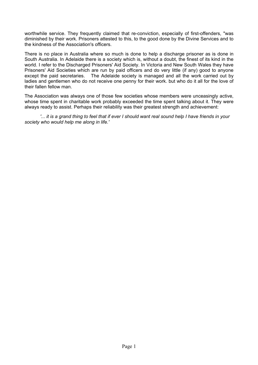worthwhile service. They frequently claimed that re-conviction, especially of first-offenders, "was diminished by their work. Prisoners attested to this, to the good done by the Divine Services and to the kindness of the Association's officers.

There is no place in Australia where so much is done to help a discharge prisoner as is done in South Australia. In Adelaide there is a society which is, without a doubt, the finest of its kind in the world. I refer to the Discharged Prisoners' Aid Society. In Victoria and New South Wales they have Prisoners' Aid Societies which are run by paid officers and do very little (if any) good to anyone except the paid secretaries. The Adelaide society is managed and all the work carried out by ladies and gentlemen who do not receive one penny for their work. but who do it all for the love of their fallen fellow man.

The Association was always one of those few societies whose members were unceasingly active, whose time spent in charitable work probably exceeded the time spent talking about it. They were always ready to assist. Perhaps their reliability was their greatest strength and achievement:

*'... it is a grand thing to feel that if ever I should want real sound help I have friends in your society who would help me along in life.'*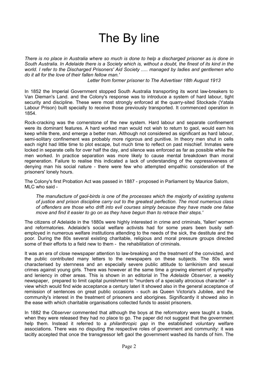### The By line

*There is no place in Australia where so much is done to help a discharged prisoner as is done in South Australia. In Adelaide there is a Society which is, without a doubt, the finest of its kind in the world. I refer to the Discharged Prisoners' Aid Society ..... managed by ladies and gentlemen who do it all for the love of their fallen fellow man.'* 

*Letter from former prisoner to The Advertiser 18th August 1913* 

In 1852 the Imperial Government stopped South Australia transporting its worst law-breakers to Van Dieman's Land. and the Colony's response was to introduce a system of hard labour, tight security and discipline. These were most strongly enforced at the quarry-sited Stockade (Yatala Labour Prison) built specially to receive those previously transported. It commenced operation in 1854.

Rock-cracking was the cornerstone of the new system. Hard labour and separate confinement were its dominant features. A hard worked man would not wish to return to gaol, would earn his keep while there, and emerge a better man. Although not considered as significant as hard labour, semi-solitary confinement was probably more rigorous and punitive. In theory men shut in cells each night had little time to plot escape, but much time to reflect on past mischief. Inmates were locked in separate cells for over half the day, and silence was enforced as far as possible while the men worked. In practice separation was more likely to cause mental breakdown than moral regeneration. Failure to realise this indicated a lack of understanding of the oppressiveness of denying man his social nature - there were few who attempted empathic consideration of the prisoners' lonely hours.

The Colony's first Probation Act was passed in 1887 - proposed in Parliament by Maurice Salom, MLC who said -

*The manufacture of gaol-birds is one of the processes which the majority of existing systems of justice and prison discipline carry out to the greatest perfection. The most numerous class of offenders are those who drift into evil courses simply because they have made one false move and find it easier to go on as they have begun than to retrace their steps.'* 

The citizens of Adelaide in the 1880s were highly interested in crime and criminals. 'fallen' women and reformatories. Adelaide's social welfare activists had for some years been busily selfemployed in numerous welfare institutions attending to the needs of the sick, the destitute and the poor. During the 80s several existing charitable, religious and moral pressure groups directed some of their efforts to a field new to them - the rehabilitation of criminals.

It was an era of close newspaper attention to law-breaking and the treatment of the convicted, and the public contributed many letters to the newspapers on these subjects. The 80s were characterised by sternness and an especially severe public attitude to larrikinism and sexual crimes against young girls. There was however at the same time a growing element of sympathy and leniency in other areas. This is shown in an editorial in The *Adelaide Observer,* a weekly newspaper, prepared to limit capital punishment to "murders of a specially atrocious character' - a view which would find wide acceptance a century lateri It showed also in the general acceptance of remission of sentences on great public occasions - such as Queen Victoria's Jubilee, and the community's interest in the treatment of prisoners and aborigines. Significantly it showed also in the ease with which charitable organisations collected funds to assist prisoners.

In 1882 the *Observer* commented that although the boys at the reformatory were taught a trade, when they were released they had no place to go. The paper did not suggest that the government help them. Instead it referred to a *philanthropic gap* in the established voluntary welfare associations. There was no disputing the respective roles of government and community: it was tacitly accepted that once the transgressor left gaol the government washed its hands of him. The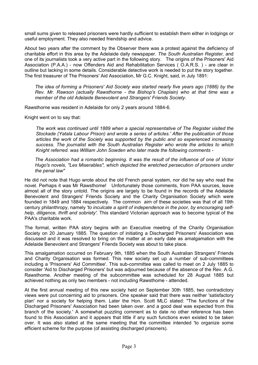small sums given to released prisoners were hardly sufficient to establish them either in lodgings or useful employment. They also needed friendship and advice.

About two years after the comment by the Observer there was a protest against the deficiency of charitable effort in this area by the Adelaide daily newspaper. *The South Australian Register,* and one of its journalists took a very active part in the following story. The origins of the Prisoners' Aid Association (P.A.A.) - now Offenders Aid and Rehabilitation Services ( O.A.R.S. ) - are clear in outline but lacking in some details. Considerable detective work is needed to put the story together. The first treasurer of The Prisoners' Aid Association, Mr G.C. Knight, said, in July 1891:

*The idea of forming a Prisoners' Aid Society was started nearly five years ago (1886) by the Rev. Mr. Rawson (actually Rawsthorne - the Bishop's Chaplain) who at that time was a member of the old Adelaide Benevolent and Strangers' Friends Society.* 

Rawsthorne was resident in Adelaide for only 2 years around 1884-6.

Knight went on to say that:

*The work was continued until 1889 when a special representative of The Register visited the Stockade (Yatala Labour Prison) and wrote a series of articles.' After the publication of those articles the work of the Society was supported by the public and so experienced increasing success. The journalist with the South Australian Register who wrote the articles to which Knight referred. was William John Sowden who later made the following comments -* 

*The Association had a romantic beginning. It was the result of the influence of one of Victor Hugo's novels, "Les Miserables", which depicted the wretched persecution of prisoners under the penal law"* 

He did not note that Hugo wrote about the old French penal system, nor did he say who read the novel. Perhaps it was Mr Rawsthome! Unfortunately those comments, from PAA sources, leave almost all of the story untold. The origins are largely to be found in the records of the Adelaide Benevolent and Strangers' Friends Society and the Charity Organisation Society which were founded in 1849 and 1884 respectively. The common aim of these societies was that of all 19th century philanthropy, namely *'to inculcate a spirit of independence in the poor, by encouraging selfhelp, diligence, thrift and sobriety'.* This standard Victorian approach was to become typical of the PAA's charitable work.

The formal, written PAA story begins with an Executive meeting of the Charity Organisation Society on 20 January 1885. The question of initiating a Discharged Prisoners' Association was discussed and it was resolved to bring on the matter at an early date as amalgamation with the Adelaide Benevolent and Strangers' Friends Society was about to take place.

This amalgamation occurred on February 9th, 1885 when the South Australian Strangers' Friends and Charity Organisation was formed. This new society set up a number of sub-committees including a 'Prisoners' Aid Committee'. This sub-committee was called to meet on 2 July 1885 to consider 'Aid to Discharged Prisoners' but was adjourned because of the absence of the Rev. A.G. Rawsthome. Another meeting of the subcommittee was scheduled for 28 August 1885 but achieved nothing as only two members - not including Rawsthome - attended.

At the first annual meeting of this new society held on September 30th 1885, two contradictory views were put concerning aid to prisoners. One speaker said that there was neither 'satisfactory plan' nor a society for helping them. Later the Hon. Scott MLC stated: "The functions of the Discharged Prisoners' Association had been taken over. and a good deal was expected from this branch of the society.' A somewhat puzzling comment as to date no other reference has been found to this Association and it appears that little if any such functions even existed to be taken over. It was also stated at the same meeting that the committee intended 'to organize some efficient scheme for the purpose (of assisting discharged prisoners).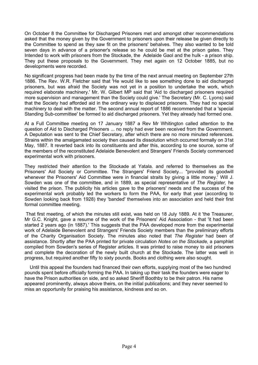On October 8 the Committee for Discharged Prisoners met and amongst other recommendations asked that the money given by the Government to prisoners upon their release be given directly to the Committee to spend as they saw fit on the prisoners' behalves. They also wanted to be told seven days in advance of a prisoner's release so he could be met at the prison gates. They Intended to work with prisoners from the Stockade, the Adelaide Gaol and the hulk - a prison ship. They put these proposals to the Government. They met again on 12 October 1885, but no developments were recorded.

No significant progress had been made by the time of the next annual meeting on September 27th 1886. The Rev. W.R. Fletcher said that 'He would like to see something done to aid discharged prisoners, but was afraid the Society was not yet in a position to undertake the work, which required elaborate machinery.' Mr. W. Gilbert MP said that 'Aid to discharged prisoners required more supervision and management than the Society could give.' The Secretary (Mr. C. Lyons) said that the Society had afforded aid in the ordinary way to displaced prisoners. They had no special machinery to deal with the matter. The second annual report of 1886 recommended that a 'special Standing Sub-committee' be formed to aid discharged prisoners. Yet they already had formed one.

At a Full Committee meeting on 17 January 1887 a Rev Mr Whitington called attention to the question of Aid to Discharged Prisoners ... no reply had ever been received from the Government. A Deputation was sent to the Chief Secretary, after which there are no more minuted references. Strains within the amalgamated society then caused its dissolution which occurred formally on 31st May, 1887. It reverted back into its constituents and after this, according to one source, some of the members of the reconstituted Adelaide Benevolent and Strangers' Friends Society commenced experimental work with prisoners.

They restricted their attention to the Stockade at Yatala. and referred to themselves as the Prisoners' Aid Society or Committee. The Strangers' Friend Society... "provided its goodwill whenever the Prisoners' Aid Committee were in financial straits by giving a little money.' Will J. Sowden was one of the committee, and in 1889, as special representative of *The Register,* he visited the prison. The publicity his articles gave to the prisoners' needs and the success of the experimental work probably led the workers to form the PAA, for early that year (according to Sowden looking back from 1928) they 'banded' themselves into an association and held their first formal committee meeting.

That first meeting, of which the minutes still exist, was held on 18 July 1889. At it 'the Treasurer, Mr G.C. Knight, gave a resume of the work of the Prisoners' Aid Association - that 'it had been started 2 years ago (in 1887).' This suggests that the PAA developed more from the experimental work of Adelaide Benevolent and Strangers' Friends Society members than the preliminary efforts of the Charity Organisation Society. The minutes also noted that *The Register* had been of assistance. Shortly after the PAA printed for private circulation *Notes on the Stockade,* a pamphlet compiled from Sowden's series of Register articles. It was printed to raise money to aid prisoners and complete the decoration of the newly built church at the Stockade. The latter was well in progress, but required another fifty to sixty pounds. Books and clothing were also sought.

Until this appeal the founders had financed their own efforts, supplying most of the two hundred pounds spent before officially forming the PAA. In taking up their task the founders were eager to have the Prison authorities on side, and so asked Sheriff Boothby to be their patron. His name appeared prominently, always above theirs, on the initial publications; and they never seemed to miss an opportunity for praising his assistance, kindness and so on.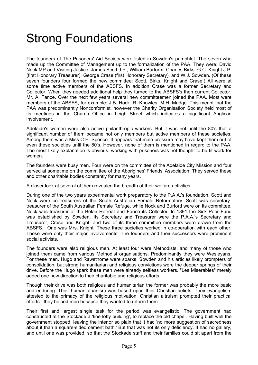## Strong Foundations

The founders of The Prisoners' Aid Society were listed in Sowden's pamphlet. The seven who made up the Committee of Management up to the formalization of the PAA. They were: David Nock MP and Visiting Justice, James Scott J.P., William Burform, Charles Birks. G.C. Knight J.P. (first Honorary Treasurer), George Crase (first Honorary Secretary), and W.J. Sowden. (Of these seven founders four formed the new committee: Scott, Birks. Knight and Crase.) All were at some time active members of the ABSFS. In addition Crase was a former Secretary and Collector. When they needed additional help they turned to the ABSFS's then current Collector, Mr. A. Fance. Over the next few years several new committeemen joined the PAA. Most were members of the ABSFS, for example: J.B. Hack. R. Knowles. M.H. Madge. This meant that the PAA was predominantly Nonconformist, however the Charity Organisation Society held most of its meetings in the Church Office in Leigh Street which indicates a significant Anglican involvement.

Adelaide's women were also active philanthropic workers. But it was not until the 80's that a significant number of them became not only members but active members of these societies. Among them was a Miss C.H. Spence. It appears that male pressure may have kept them out of even these societies until the 80's. However, none of them is mentioned in regard to the PAA. The most likely explanation is obvious: working with prisoners was not thought to be fit work for women.

The founders were busy men. Four were on the committee of the Adelaide City Mission and four served at sometime on the committee of the Aborigines' Friends' Association. They served these and other charitable bodies constantly for many years.

A closer look at several of them revealed the breadth of their welfare activities.

During one of the two years experimental work preparatory to the P.A.A.'s foundation, Scott and Nock were co-treasurers of the South Australian Female Reformatory. Scott was secretarytreasurer of the South Australian Female Refuge, while Nock and Burford were on its committee. Nock was treasurer of the Belair Retreat and Fance its Collector. In 1891 the Sick Poor Fund was established by Sowden. Its Secretary and Treasurer were the P.A.A.'s Secretary and Treasurer, Crase and Knight, and two of its three committee members were drawn from the ABSFS. One was Mrs. Knight. These three societies worked in co-operation with each other. These were only their major involvements. The founders and their successors were prominent social activists.

The founders were also religious men. At least four were Methodists, and many of those who joined them came from various Methodist organisations. Predominantly they were Wesleyans. For these men. Hugo and Rawsthome were sparks, Sowden and his articles likely prompters of consolidation: but strong humanitarian and religious convictions were the deeper springs of their drive. Before the Hugo spark these men were already selfless workers. "Les Miserables" merely added one new direction to their charitable and religious efforts.

Though their drive was both religious and humanitarian the former was probably the more basic and enduring. Their humanitarianism was based upon their Christian beliefs. Their evangelism attested to the primacy of the religious motivation. Christian altruism prompted their practical efforts: they helped men because they wanted to reform them.

Their first and largest single task for the period was evangelistic. The government had constructed at the Stockade a 'fine lofty building', to replace the old chapel. Having built well the government stopped, leaving the interior so plain that it had 'no more suggestion of sacredness about it than a square-sided cement bath.' But that was not its only deficiency. It had no gallery, and until one was provided, so that the Stockade staff and their families could sit apart from the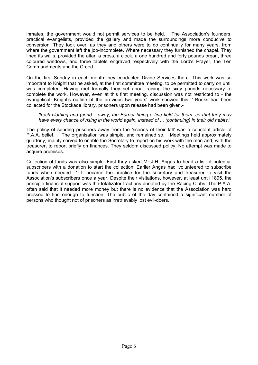inmates, the government would not permit services to be held. The Association's founders, practical evangelists, provided the gallery and made the surroundings more conducive to conversion. They took over. as they and others were to do continually for many years, from where the government left the job-incomplete. Where necessary they furnished the chapel. They lined its walls, provided the altar, a cross, a clock, a one hundred and forty pounds organ, three coloured windows, and three tablets engraved respectively with the Lord's Prayer, the Ten Commandments and the Creed.

On the first Sunday in each month they conducted Divine Services there. This work was so important to Knight that he asked, at the first committee meeting, to be permitted to carry on until was completed. Having met formally they set about raising the sixty pounds necessary to complete the work. However, even at this first meeting, discussion was not restricted to • the evangelical; Knight's outline of the previous two years' work showed this. ' Books had been collected for the Stockade library, prisoners upon release had been given.-

#### *'fresh clothing and (sent) ...away, the Barrier being a fine field for them. so that they may have every chance of rising in the world again, instead of ... (continuing) in their old habits.'*

The policy of sending prisoners away from the 'scenes of their fall' was a constant article of P.A.A. belief. The organisation was simple, and remained so. Meetings held approximately quarterly, mainly served to enable the Secretary to report on his work with the men and, with the treasurer, to report briefly on finances. They seldom discussed policy. No attempt was made to acquire premises.

Collection of funds was also simple. First they asked Mr J.H. Angas to head a list of potential subscribers with a donation to start the collection. Earlier Angas had 'volunteered to subscribe funds when needed....'. It became the practice for the secretary and treasurer to visit the Association's subscribers once a year. Despite their visitations, however, at least until 1895. the principle financial support was the totalizator fractions donated by the Racing Clubs. The P.A.A. often said that it needed more money but there is no evidence that the Association was hard pressed to find enough to function. The public of the day contained a significant number of persons who thought not of prisoners as irretrievably lost evil-doers.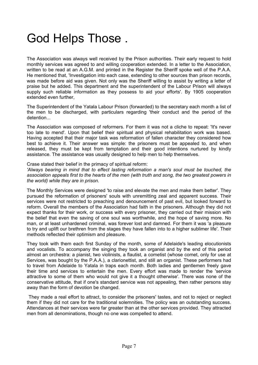### God Helps Those .

The Association was always well received by the Prison authorities. Their early request to hold monthly services was agreed to and willing cooperation extended. In a letter to the Association, written to be read at an A.G.M. and printed in the Register the Sheriff spoke well of the P.A.A. He mentioned that, 'Investigation into each case, extending to other sources than prison records, was made before aid was given. Not only was the Sheriff willing to assist by writing a letter of praise but he added. This department and the superintendent of the Labour Prison will always supply such reliable information as they possess to aid your efforts'. By 1905 cooperation extended even further,

The Superintendent of the Yatala Labour Prison (forwarded) to the secretary each month a list of the men to be discharged, with particulars regarding 'their conduct and the period of the detention...

The Association was composed of reformers. For them it was not a cliche to repeat: 'It's never too late to mend'. Upon that belief their spiritual and physical rehabilitation work was based. Having accepted that their major task was reformation of fallen character they considered how best to achieve it. Their answer was simple: the prisoners must be appealed to, and when released, they must be kept from temptation and their good intentions nurtured by kindly assistance. The assistance was usually designed to help men to help themselves.

#### Crase stated their belief in the primacy of spiritual reform:

*'Always bearing in mind that to effect lasting reformation a man's soul must be touched, the association appeals first to the hearts of the men (with truth and song, the two greatest powers in the world) while they are in prison.* 

The Monthly Services were designed 'to raise and elevate the men and make them better'. They pursued the reformation of prisoners' souls with unremitting zeal and apparent success. Their services were not restricted to preaching and denouncement of past evil, but looked forward to reform. Overall the members of the Association had faith in the prisoners. Although they did not expect thanks for their work, or success with every prisoner, they carried out their mission with the belief that even the saving of one soul was worthwhile, and the hope of saving more. No man, or at least unhardened criminal, was forever lost and damned. For them it was 'a pleasure to try and uplift our brethren from the stages they have fallen into to a higher sublimer life'. Their methods reflected their optimism and pleasure.

They took with them each first Sunday of the month, some of Adelaide's leading elocutionists and vocalists. To accompany the singing they took an organist and by the end of this period almost an orchestra: a pianist, two violinists, a flautist, a cometist (whose comet, only for use at Services, was bought by the P.A.A.), a clarionettist, and still an organist. These performers had to travel from Adelaide to Yatala in traps each month. Both ladies and gentlemen freely gave their time and services to entertain the men. Every effort was made to render the 'service attractive to some of them who would not give it a thought otherwise'. There was none of the conservative attitude, that if one's standard service was not appealing, then rather persons stay away than the form of devotion be changed.

They made a real effort to attract, to consider the prisoners' tastes, and not to reject or neglect them if they did not care for the traditional solemnities. The policy was an outstanding success. Attendances at their services were far greater than at the other services provided. They attracted men from all denominations, though no one was compelled to attend.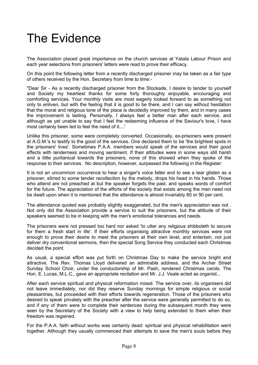## The Evidence

The Association placed great importance on the church services at Yatala Labour Prison and each year selections from prisoners' letters were read to prove their efficacy.

On this point the following letter from a recently discharged prisoner may be taken as a fair type of others received by the Hon. Secretary from time to time:-

"Dear Sir - As a recently discharged prisoner from the Stockade, I desire to tender to yourself and Society my heartiest thanks for some forty thoroughly enjoyable, encouraging and comforting services. Your monthly visits are most eagerly looked forward to as something not only to enliven, but with the feeling that it is good to be there, and I can say without hesitation that the moral and religious tone of the place is decidedly improved by them, and in many cases the improvement is lasting. Personally, I always feel a better man after each service, and although as yet unable to say that I feel the redeeming influence of the Saviour's love, I have most certainly been led to feel the need of it....'

Unlike this prisoner, some were completely converted. Occasionally, ex-prisoners were present at A.G.M.'s to testify to the good of the services. One declared them to be 'the brightest spots in the prisoners' lives'. Sometimes P.A.A. members would speak of the services and their good effects with tenderness and moving sentiment. If their attitudes were in some ways still harsh and a little puritanical towards the prisoners, none of this showed when they spoke of the response to their services. No description, however, surpassed the following in the Register:

It is not an uncommon occurrence to hear a singer's voice falter and to see a tear glisten as a prisoner, stirred to some tender recollection by the melody, drops his head in his hands. Those who attend are not preached at but the speaker forgets the past. and speaks words of comfort for the future. The appreciation of the efforts of the society that exists among the men need not be dwelt upon when it is mentioned that the attendance is almost invariably 80 or 90 per cent.

The attendance quoted was probably slightly exaggerated, but the men's appreciation was not . Not only did the Association provide a service to suit the prisoners, but the attitude of their speakers seemed to be in keeping with the men's emotional tolerances and needs.

The prisoners were not pressed too hard nor asked 'to utter any religious shibboleth to secure for them a fresh start in life'. If their efforts organising attractive monthly services were not enough to prove their desire to meet the prisoners at their own level, and entertain, not just deliver dry conventional sermons, then the special Song Service they conducted each Christmas decided the point.

As usual, a special effort was put forth on Christmas Day to make the service bright and attractive. The Rev. Thomas Lloyd delivered an admirable address, and the Archer Street Sunday School Choir, under the conductorship of Mr. Pash, rendered Christmas carols. The Hon. E. Lucas, M.L.C., gave an appropriate recitation and Mr. J.J. Veale acted as organist...

After each service spiritual and physical reformation mixed. The service over, its organisers did not leave immediately, nor did they reserve Sunday mornings for simple religious or social pleasantries, but proceeded with their efforts towards regeneration. Those of the prisoners who desired to speak privately with the preacher after the service were generally permitted to do so, and if any of them were to complete their sentences during the subsequent month they were seen by the Secretary of the Society with a view to help being extended to them when their freedom was regained.

For the P.A.A. faith without works was certainly dead: spiritual and physical rehabilitation went together. Although they usually commenced their attempts to save the men's souls before they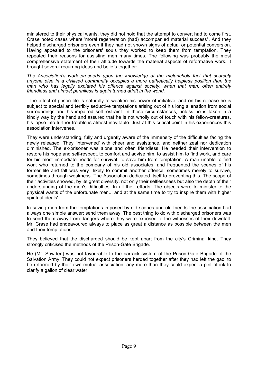ministered to their physical wants, they did not hold that the attempt to convert had to come first. Crase noted cases where 'moral regeneration (had) accompanied material success". And they helped discharged prisoners even if they had not shown signs of actual or potential conversion. Having appealed to the prisoners' souls they worked to keep them from temptation. They repeated their reasons for assisting men many times. The following was probably the most comprehensive statement of their attitude towards the material aspects of reformative work. It brought several recurring ideas and beliefs together:

*The Association's work proceeds upon the knowledge of the melancholy fact that scarcely anyone else in a civilised community occupies a more pathetically helpless position than the man who has legally expiated his offence against society, when that man, often entirely friendless and almost penniless is again turned adrift in the world.* 

The effect of prison life is naturally to weaken his power of initiative, and on his release he is subject to special and terribly seductive temptations arising out of his long alienation from social surroundings and his impaired self-restraint. In these circumstances, unless he is taken in a kindly way by the hand and assured that he is not wholly out of touch with his fellow-creatures, his lapse into further trouble is almost inevitable. Just at this critical point in his experiences this association intervenes.

They were understanding, fully and urgently aware of the immensity of the difficulties facing the newly released. They 'intervened' with cheer and assistance, and neither zeal nor dedication diminished. The ex-prisoner was alone and often friendless. He needed their intervention to restore his hope and self-respect, to comfort and advise him, to assist him to find work, and care for his most immediate needs for survival: to save him from temptation. A man unable to find work who returned to the company of his old associates, and frequented the scenes of his former life and fall was very likely to commit another offence, sometimes merely to survive, sometimes through weakness. The Association dedicated itself to preventing this. The scope of their activities showed, by its great diversity, not only their selflessness but also the depth of their understanding of the men's difficulties. In all their efforts. The objects were to minister to the physical wants of the unfortunate men... and at the same time to try to inspire them with higher spiritual ideals'.

In saving men from the temptations imposed by old scenes and old friends the association had always one simple answer: send them away. The best thing to do with discharged prisoners was to send them away from dangers where they were exposed to the witnesses of their downfall. Mr. Crase had endeavoured always to place as great a distance as possible between the men and their temptations.

They believed that the discharged should be kept apart from the city's Criminal kind. They strongly criticised the methods of the Prison-Gate Brigade.

He (Mr. Sowden) was not favourable to the barrack system of the Prison-Gate Brigade of the Salvation Army. They could not expect prisoners herded together after they had left the gaol to be reformed by their own mutual association, any more than they could expect a pint of ink to clarify a gallon of clear water.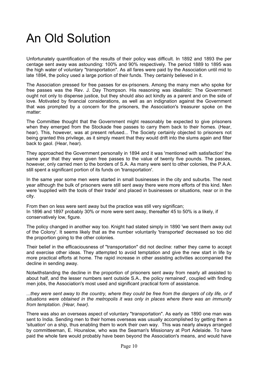## An Old Solution

Unfortunately quantification of the results of their policy was difficult. In 1892 and 1893 the per centage sent away was astounding: 100% and 90% respectively. The period 1889 to 1895 was the high water of voluntary "transportation". As all fares were paid by the Association until mid to late 1894, the policy used a large portion of their funds. They certainly believed in it.

The Association pressed for free passes for ex-prisoners. Among the many men who spoke for free passes was the Rev. J. Day Thompson. His reasoning was idealistic: The Government ought not only to dispense justice, but they should also act kindly as a parent and on the side of love. Motivated by financial considerations, as well as an indignation against the Government that was prompted by a concern for the prisoners, the Association's treasurer spoke on the matter:

The Committee thought that the Government might reasonably be expected to give prisoners when they emerged from the Stockade free passes to carry them back to their homes. (Hear, hear). This, however, was at present refused... The Society certainly objected to prisoners not being granted this privilege, as it simply meant that they would drift into the slums again and filter back to gaol. (Hear, hear).

They approached the Government personally in 1894 and it was 'mentioned with satisfaction' the same year that they were given free passes to the value of twenty five pounds. The passes, however, only carried men to the borders of S.A. As many were sent to other colonies, the P.A.A. still spent a significant portion of its funds on 'transportation'.

In the same year some men were started in small businesses in the city and suburbs. The next year although the bulk of prisoners were still sent away there were more efforts of this kind. Men were 'supplied with the tools of their trade' and placed in businesses or situations, near or in the city.

From then on less were sent away but the practice was still very significan; In 1896 and 1897 probably 30% or more were sent away, thereafter 45 to 50% is a likely, if conservatively low, figure.

The policy changed in another way too. Knight had stated simply in 1890 'we sent them away out of the Colony'. It seems likely that as the number voluntarily 'transported' decreased so too did the proportion going to the other colonies.

Their belief in the efficaciousness of "transportation" did not decline: rather they came to accept and exercise other ideas. They attempted to avoid temptation and give the new start in life by more practical efforts at home. The rapid increase in other assisting activities accompanied the decline in sending away.

Notwithstanding the decline in the proportion of prisoners sent away from nearly all assisted to about half, and the lesser numbers sent outside S.A., the policy remained', coupled with finding men jobs, the Association's most used and significant practical form of assistance.

*...they were sent away to the country, where they could be free from the dangers of city life, or if situations were obtained in the metropolis it was only in places where there was an immunity from temptation. (Hear, hear).* 

There was also an overseas aspect of voluntary "transportation". As early as 1890 one man was sent to India. Sending men to their homes overseas was usually accomplished by getting them a 'situation' on a ship, thus enabling them to work their own way. This was nearly always arranged by committeeman, E. Hounslow, who was the Seaman's Missionary at Port Adelaide. To have paid the whole fare would probably have been beyond the Association's means, and would have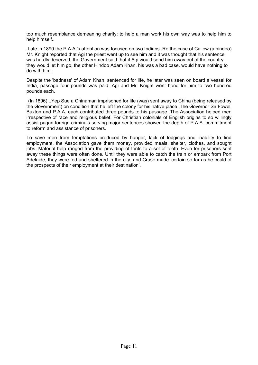too much resemblance demeaning charity: to help a man work his own way was to help him to help himself..

.Late in 1890 the P.A.A.'s attention was focused on two Indians. Re the case of Callow (a hindoo) Mr. Knight reported that Agi the priest went up to see him and it was thought that his sentence was hardly deserved, the Government said that if Agi would send him away out of the country they would let him go, the other Hindoo Adam Khan, his was a bad case. would have nothing to do with him.

Despite the 'badness' of Adam Khan, sentenced for life, he later was seen on board a vessel for India, passage four pounds was paid. Agi and Mr. Knight went bond for him to two hundred pounds each.

(In 1896)...Yep Sue a Chinaman imprisoned for life (was) sent away to China (being released by the Government) on condition that he left the colony for his native place .The Governor Sir Fowell Buxton and P.A.A. each contributed three pounds to his passage .The Association helped men irrespective of race and religious belief. For Christian colonials of English origins to so willingly assist pagan foreign criminals serving major sentences showed the depth of P.A.A. commitment to reform and assistance of prisoners.

To save men from temptations produced by hunger, lack of lodgings and inability to find employment, the Association gave them money, provided meals, shelter, clothes, and sought jobs. Material help ranged from the providing of tents to a set of teeth. Even for prisoners sent away these things were often done. Until they were able to catch the train or embark from Port Adelaide, they were fed and sheltered in the city, and Crase made 'certain so far as he could of the prospects of their employment at their destination'.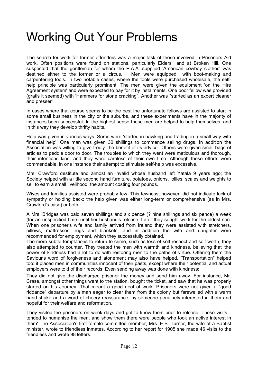#### Working Out Your Problems

The search for work for former offenders was a major task of those involved in Prisoners Aid work. Often positions were found on stations, particularly Elders', and at Broken Hill. One suspected that the gentleman for whom the P.A.A. supplied 'American cowboy clothes' was destined either to the former or a circus. Men were equipped with boot-making and carpentering tools. In two notable cases, where the tools were purchased wholesale, the selfhelp principle was particularly prominent. The men were given the equipment 'on the Hire Agreement system' and were expected to pay for it by instalments. One poor fellow was provided (gratis it seemed) with 'Hammers for stone cracking". Another was "started as an expert cleaner and presser".

In cases where that course seems to be the best the unfortunate fellows are assisted to start in some small business in the city or the suburbs, and these experiments have in the majority of instances been successful. In the highest sense these men are helped to help themselves, and in this way they develop thrifty habits.

Help was given in various ways. Some were 'started in hawking and trading in a small way with financial help'. One man was given 30 shillings to commence selling drugs. In addition the Association was willing to give freely 'the benefit of its advice'. Others were given small bags of articles to peddle door to door. The troubles to which they went were meticulous and thorough, their intentions kind. and they were careless of their own time. Although these efforts were commendable, in one instance their attempt to stimulate self-help was excessive.

Mrs. Crawford destitute and almost an invalid whose husband left Yatala 9 years ago; the Society helped with a little second hand furniture, potatoes, onions, lollies, scales and weights to sell to earn a small livelihood, the amount costing four pounds.

Wives and families assisted were probably few. This fewness, however, did not indicate lack of sympathy or holding back: the help given was either long-term or comprehensive (as in Mrs. Crawford's case) or both.

A Mrs. Bridges was paid seven shillings and six pence (? nine shillings and six pence) a week (for an unspecified time) until her husband's release. Later they sought work for the eldest son. When one prisoner's wife and family arrived from Ireland they were assisted with stretchers, pillows, mattresses, rugs and blankets, and in addition the wife and daughter were recommended for employment, which they successfully obtained.

The more subtle temptations to return to crime, such as loss of self-respect and self-worth, they also attempted to counter. They treated the men with warmth and kindness, believing that 'the power of kindness had a lot to do with restoring men to the paths of virtue. Offering them the Saviour's word of forgiveness and atonement may also have helped. "Transportation" helped too: it placed men in communities innocent of their pasts, except where their potential and actual employers were told of their records. Even sending away was done with kindness:

They did not give the discharged prisoner the money and send him away. For instance, Mr. Crase, amongst other things went to the station, bought the ticket, and saw that he was properly started on his Journey. That meant a good deal of work. Prisoners were not given a "good riddance" departure by a man eager to clear them from the colony but farewelled with a warm hand-shake and a word of cheery reassurance, by someone genuinely interested in them and hopeful for their welfare and reformation.

They visited the prisoners on week days and got to know them prior to release. Those visits... tended to humanise the men, and show them there were people who took an active interest in them' The Association's first female committee member, Mrs. E.B. Turner, the wife of a Baptist minister, wrote to friendless inmates. According to her report for 1905 she made 46 visits to the friendless and wrote 98 letters.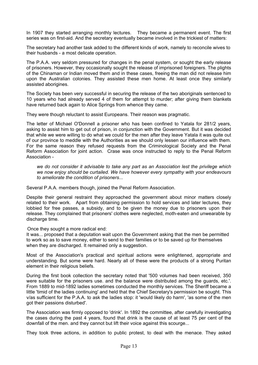In 1907 they started arranging monthly lectures. They became a permanent event. The first series was on first-aid. And the secretary eventually became involved in the trickiest of matters:

The secretary had another task added to the different kinds of work, namely to reconcile wives to their husbands - a most delicate operation.

The P.A.A. very seldom pressured for changes in the penal system, or sought the early release of prisoners. However, they occasionally sought the release of imprisoned foreigners. The plights of the Chinaman or Indian moved them and in these cases, freeing the man did not release him upon the Australian colonies. They assisted these men home. At least once they similarly assisted aborigines.

The Society has been very successful in securing the release of the two aboriginals sentenced to 10 years who had already served 4 of them for attempt to murder; after giving them blankets have returned back again to Alice Springs from whence they came.

They were though reluctant to assist Europeans. Their reason was pragmatic.

The letter of Michael O'Donnell a prisoner who has been confined to Yatala for 281/2 years, asking to assist him to get out of prison, in conjunction with the Government. But it was decided that while we were willing to do what we could for the men after they leave Yatala it was quite out of our province to meddle with the Authorities as we should only lessen our influence with them. For the same reason they refused requests from the Criminological Society and the Penal Reform Association for joint action. Crase was once instructed to reply to the Penal Reform Association -

*we do not consider it advisable to take any part as an Association lest the privilege which we now enjoy should be curtailed. We have however every sympathy with your endeavours to ameliorate the condition of prisoners...* 

Several P.A.A. members though, joined the Penal Reform Association.

Despite their general restraint they approached the government about minor matters closely related to their work. Apart from obtaining permission to hold services and later lectures, they lobbied for free passes, a subsidy, and to be given the money due to prisoners upon their release. They complained that prisoners' clothes were neglected, moth-eaten and unwearable by discharge time.

Once they sought a more radical end:

It was... proposed that a deputation wait upon the Government asking that the men be permitted to work so as to save money, either to send to their families or to be saved up for themselves when they are discharged. It remained only a suggestion.

Most of the Association's practical and spiritual actions were enlightened, appropriate and understanding. But some were hard. Nearly all of these were the products of a strong Puritan element in their religious beliefs.

During the first book collection the secretary noted that '500 volumes had been received, 350 were suitable for the prisoners use. and the balance were distributed among the guards, etc.'. From 1889 to mid-1892 ladies sometimes conducted the monthly services. The Sheriff became a little 'timid of the ladies continuing' and held that the Chief Secretary's permission be sought. This v/as sufficient for the P.A.A. to ask the ladies stop: it 'would likely do harm', 'as some of the men got their passions disturbed'.

The Association was firmly opposed to 'drink'. In 1892 the committee, after carefully investigating the cases during the past 4 years, found that drink is the cause of at least 75 per cent of the downfall of the men. and they cannot but lift their voice against this scourge...

They took three actions, in addition to public protest, to deal with the menace. They asked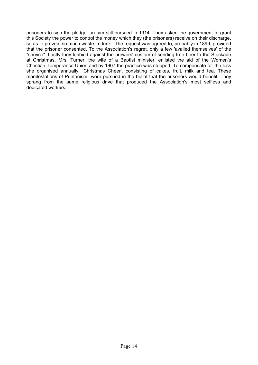prisoners to sign the pledge: an aim still pursued in 1914. They asked the government to grant this Society the power to control the money which they (the prisoners) receive on their discharge, so as to prevent so much waste in drink...The request was agreed to, probably in 1899, provided that the prisoner consented. To the Association's regret, only a few 'availed themselves' of the "service". Lastly they lobbied against the brewers' custom of sending free beer to the Stockade at Christmas. Mrs. Turner, the wife of a Baptist minister, enlisted the aid of the Women's Christian Temperance Union and by 1907 the practice was stopped. To compensate for the loss she organised annually, 'Christmas Cheer', consisting of cakes, fruit, milk and tea. These manifestations of Puritanism were pursued in the belief that the prisoners would benefit. They sprang from the same religious drive that produced the Association's most selfless and dedicated workers.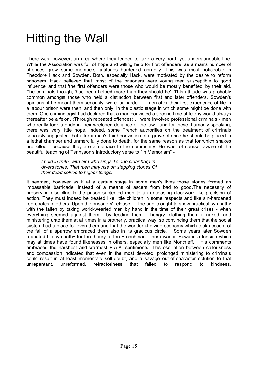#### Hitting the Wall

There was, however, an area where they tended to take a very hard, yet understandable line. While the Association was full of hope and willing help for first offenders, as a man's number of offences grew some members' attitudes hardened abruptly. This was most noticeable in Theodore Hack and Sowden. Both. especially Hack, were motivated by the desire to reform prisoners. Hack believed that 'most of the prisoners were young men susceptible to good influence' and that 'the first offenders were those who would be mostly benefited' by their aid. The criminals though, 'had been helped more than they should be'. This attitude was probably common amongst those who held a distinction between first and later offenders. Sowden's opinions, if he meant them seriously, were far harder. ... men after their first experience of life in a labour prison were then, and then only, in the plastic stage in which some might be done with them. One criminologist had declared that a man convicted a second time of felony would always thereafter be a felon. (Through repeated offences) ... were involved professional criminals - men who really took a pride in their wretched defiance of the law - and for these, humanly speaking, there was very little hope. Indeed, some French authorities on the treatment of criminals seriously suggested that after a man's third conviction of a grave offence he should be placed in a lethal chamber and unmercifully done to death, for the same reason as that for which snakes are killed - because they are a menace to the community. He was. of course, aware of the beautiful teaching of Tennyson's introductory verse to "In Memoriam" -

*I held in truth, with him who sings To one clear harp in divers tones. That men may rise on stepping stones Of their dead selves to higher things.* 

It seemed, however as if at a certain stage in some men's lives those stones formed an impassable barricade, instead of a means of ascent from bad to good.The necessity of preserving discipline in the prison subjected men to an unceasing clockwork-like precision of action. They must indeed be treated like little children in some respects and like sin-hardened reprobates in others. Upon the prisoners' release .... the public ought to show practical sympathy with the fallen by taking world-wearied men by hand in the time of their great crises - when everything seemed against them - by feeding them if hungry, clothing them if naked, and ministering unto them at all times in a brotherly, practical way; so convincing them that the social system had a place for even them and that the wonderful divine economy which took account of the fall of a sparrow embraced them also in its gracious circle. Some years later Sowden repeated his sympathy for the theory of the Frenchman. There was in Sowden a tension which may at times have found likenesses in others, especially men like Moncrieff. His comments embraced the harshest and warmest P.A.A. sentiments. This oscillation between callousness and compassion indicated that even in the most devoted, prolonged ministering to criminals could result in at least momentary self-doubt, and a savage out-of-character solution to that unrepentant, unreformed, refractoriness that failed to respond to kindness.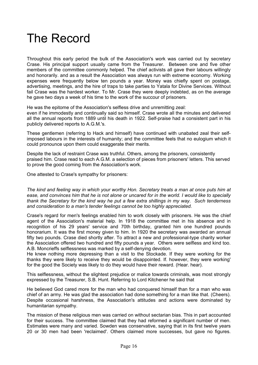#### The Record

Throughout this early period the bulk of the Association's work was carried out by secretary Crase. His principal support usually came from the Treasurer. Between one and five other members of the committee commonly helped. The chief activists all gave their labours willingly and honorarily. and as a result the Association was always run with extreme economy. Working expenses were frequently below ten pounds a year. Money was chiefly spent on postage, advertising, meetings, and the hire of traps to take parties to Yatala for Divine Services. Without fail Crase was the hardest worker. To Mr. Crase they were deeply indebted, as on the average he gave two days a week of his time to the work of the succour of prisoners.

He was the epitome of the Association's selfless drive and unremitting zeal:

even if he immodestly and continually said so himself. Crase wrote all the minutes and delivered all the annual reports from 1889 until his death in 1922. Self-praise had a consistent part in his publicly delivered reports to A.G.M.'s.

These gentlemen (referring to Hack and himself) have continued with unabated zeal their selfimposed labours in the interests of humanity; and the committee feels that no eulogium which it could pronounce upon them could exaggerate their merits.

Despite the lack of restraint Crase was truthful. Others, among the prisoners, consistently praised him. Crase read to each A.G.M. a selection of pieces from prisoners' letters. This served to prove the good coming from the Association's work.

One attested to Crase's sympathy for prisoners:

*The kind and feeling way in which your worthy Hon. Secretary treats a man at once puts him at ease, and convinces him that he is not alone or uncared for in the world. I would like to specially thank the Secretary for the kind way he put a few extra shillings in my way. Such tenderness and consideration to a man's tender feelings cannot be too highly appreciated.* 

Crase's regard for men's feelings enabled him to work closely with prisoners. He was the chief agent of the Association's material help. In 1918 the committee met in his absence and in recognition of his 29 years' service and 70th birthday, granted him one hundred pounds honorarium. It was the first money given to him. In 1920 the secretary was awarded an annual fifty two pounds. Crase died shortly after. To attract a new and professional-type charity worker the Association offered two hundred and fifty pounds a year. Others were selfless and kind too. A.B. Moncrieffs selflessness was marked by a self-denying devotion.

He knew nothing more depressing than a visit to the Stockade. If they were working for the thanks they were likely to receive they would be disappointed. If. however, they were working' for the good the Society was likely to do they would have their reward. (Hear. hear).

This selflessness, without the slightest prejudice or malice towards criminals, was most strongly expressed by the Treasurer, S.B. Hunt. Referring to Lord Kitchener he said that

He believed God cared more for the man who had conquered himself than for a man who was chief of an army. He was glad the association had done something for a man like that. (Cheers). Despite occasional harshness, the Association's attitudes and actions were dominated by humanitarian sympathy.

The mission of these religious men was carried on without sectarian bias. This in part accounted for their success. The committee claimed that they had reformed a significant number of men. Estimates were many and varied. Sowden was conservative, saying that in its first twelve years 20 or 30 men had been 'reclaimed'. Others claimed more successes, but gave no figures.